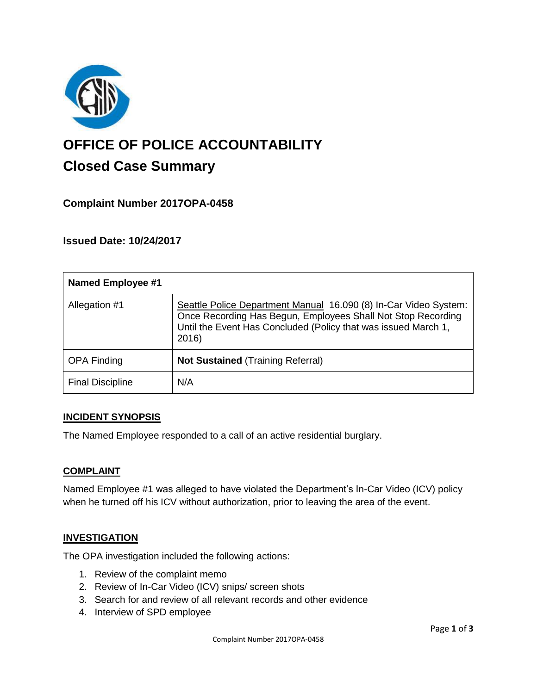

# **OFFICE OF POLICE ACCOUNTABILITY**

# **Closed Case Summary**

## **Complaint Number 2017OPA-0458**

### **Issued Date: 10/24/2017**

| <b>Named Employee #1</b> |                                                                                                                                                                                                             |
|--------------------------|-------------------------------------------------------------------------------------------------------------------------------------------------------------------------------------------------------------|
| Allegation #1            | Seattle Police Department Manual 16.090 (8) In-Car Video System:<br>Once Recording Has Begun, Employees Shall Not Stop Recording<br>Until the Event Has Concluded (Policy that was issued March 1,<br>2016) |
| <b>OPA Finding</b>       | <b>Not Sustained (Training Referral)</b>                                                                                                                                                                    |
| <b>Final Discipline</b>  | N/A                                                                                                                                                                                                         |

#### **INCIDENT SYNOPSIS**

The Named Employee responded to a call of an active residential burglary.

#### **COMPLAINT**

Named Employee #1 was alleged to have violated the Department's In-Car Video (ICV) policy when he turned off his ICV without authorization, prior to leaving the area of the event.

#### **INVESTIGATION**

The OPA investigation included the following actions:

- 1. Review of the complaint memo
- 2. Review of In-Car Video (ICV) snips/ screen shots
- 3. Search for and review of all relevant records and other evidence
- 4. Interview of SPD employee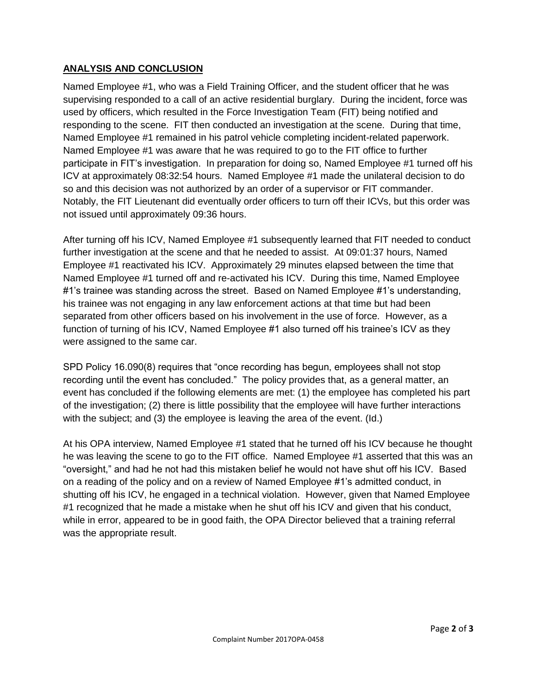#### **ANALYSIS AND CONCLUSION**

Named Employee #1, who was a Field Training Officer, and the student officer that he was supervising responded to a call of an active residential burglary. During the incident, force was used by officers, which resulted in the Force Investigation Team (FIT) being notified and responding to the scene. FIT then conducted an investigation at the scene. During that time, Named Employee #1 remained in his patrol vehicle completing incident-related paperwork. Named Employee #1 was aware that he was required to go to the FIT office to further participate in FIT's investigation. In preparation for doing so, Named Employee #1 turned off his ICV at approximately 08:32:54 hours. Named Employee #1 made the unilateral decision to do so and this decision was not authorized by an order of a supervisor or FIT commander. Notably, the FIT Lieutenant did eventually order officers to turn off their ICVs, but this order was not issued until approximately 09:36 hours.

After turning off his ICV, Named Employee #1 subsequently learned that FIT needed to conduct further investigation at the scene and that he needed to assist. At 09:01:37 hours, Named Employee #1 reactivated his ICV. Approximately 29 minutes elapsed between the time that Named Employee #1 turned off and re-activated his ICV. During this time, Named Employee #1's trainee was standing across the street. Based on Named Employee #1's understanding, his trainee was not engaging in any law enforcement actions at that time but had been separated from other officers based on his involvement in the use of force. However, as a function of turning of his ICV, Named Employee #1 also turned off his trainee's ICV as they were assigned to the same car.

SPD Policy 16.090(8) requires that "once recording has begun, employees shall not stop recording until the event has concluded." The policy provides that, as a general matter, an event has concluded if the following elements are met: (1) the employee has completed his part of the investigation; (2) there is little possibility that the employee will have further interactions with the subject; and (3) the employee is leaving the area of the event. (Id.)

At his OPA interview, Named Employee #1 stated that he turned off his ICV because he thought he was leaving the scene to go to the FIT office. Named Employee #1 asserted that this was an "oversight," and had he not had this mistaken belief he would not have shut off his ICV. Based on a reading of the policy and on a review of Named Employee #1's admitted conduct, in shutting off his ICV, he engaged in a technical violation. However, given that Named Employee #1 recognized that he made a mistake when he shut off his ICV and given that his conduct, while in error, appeared to be in good faith, the OPA Director believed that a training referral was the appropriate result.